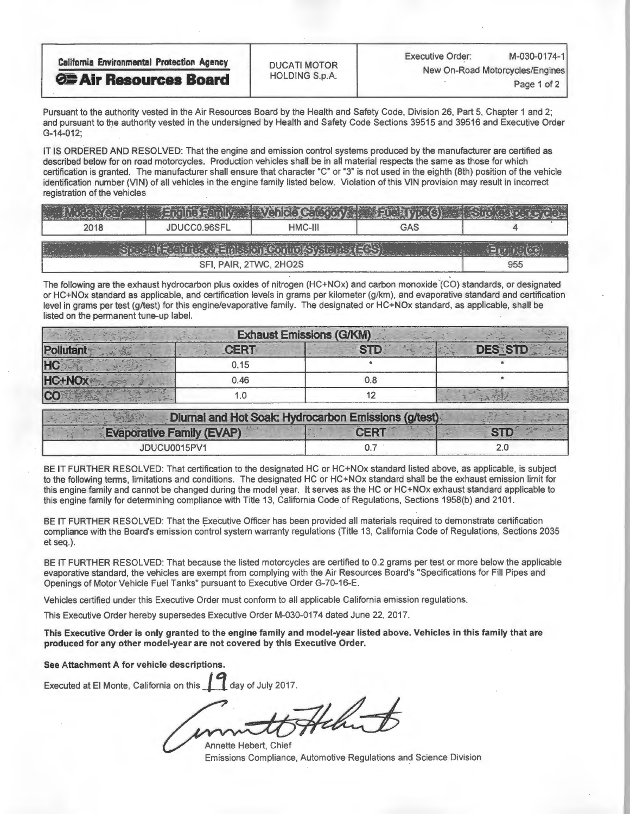| <b>California Environmental Protection Agency</b> | <b>DUCATI MOTOR</b><br><b>HOLDING S.p.A.</b> | <b>Executive Order:</b>                        | M-030-0174-1 |
|---------------------------------------------------|----------------------------------------------|------------------------------------------------|--------------|
| <b>OF Air Resources Board</b>                     |                                              | New On-Road Motorcycles/Engines<br>Page 1 of 2 |              |
|                                                   |                                              |                                                |              |

Pursuant to the authority vested in the Air Resources Board by the Health and Safety Code, Division 26, Part 5, Chapter 1 and 2; and pursuant to the authority vested in the undersigned by Health and Safety Code Sections 39515 and 39516 and Executive Order G-14-012;

IT IS ORDERED AND RESOLVED: That the engine and emission control systems produced by the manufacturer are certified as described below for on road motorcycles. Production vehicles shall be in all material respects the same as those for which certification is granted. The manufacturer shall ensure that character "C" or "3" is not used in the eighth (8th) position of the vehicle identification number (VIN) of all vehicles in the engine family listed below. Violation of this VIN provision may result in incorrect registration of the vehicles

| 2018        | JDUCC0.96SFL           | $HMC-III$ | GAS |     |  |  |
|-------------|------------------------|-----------|-----|-----|--|--|
| <b>PARK</b> |                        |           |     |     |  |  |
|             | SFI, PAIR, 2TWC, 2HO2S |           |     | 955 |  |  |

The following are the exhaust hydrocarbon plus oxides of nitrogen (HC+NOx) and carbon monoxide (CO) standards, or designated or HC+NOx standard as applicable, and certification levels in grams per kilometer (g/km), and evaporative standard and certification level in grams per test (g/test) for this engine/evaporative family. The designated or HC+NOx standard, as applicable, shall be listed on the permanent tune-up label.

| <b>Exhaust Emissions (G/KM)</b> |             |            |                |  |
|---------------------------------|-------------|------------|----------------|--|
|                                 | <b>CERT</b> | <b>CTI</b> | <b>DES STD</b> |  |
|                                 | 0.15        |            |                |  |
|                                 | 0.46        |            |                |  |
|                                 |             |            |                |  |

| Diumal and Hot Soak: Hydrocarbon Emissions (g/test) |        |  |
|-----------------------------------------------------|--------|--|
| <b>Evaporative Family (EVAP)</b>                    | - CEDT |  |
| JDUCU0015PV1                                        |        |  |

BE IT FURTHER RESOLVED: That certification to the designated HC or HC+NOx standard listed above, as applicable, is subject to the following terms, limitations and conditions. The designated HC or HC+NOx standard shall be the exhaust emission limit for this engine family and cannot be changed during the model year. It serves as the HC or HC+NOx exhaust standard applicable to this engine family for determining compliance with Title 13, California Code of Regulations, Sections 1958(b) and 2101.

BE IT FURTHER RESOLVED: That the Executive Officer has been provided all materials required to demonstrate certification compliance with the Board's emission control system warranty regulations (Title 13, California Code of Regulations, Sections 2035 et seq.).

BE IT FURTHER RESOLVED: That because the listed motorcycles are certified to 0.2 grams per test or more below the applicable evaporative standard, the vehicles are exempt from complying with the Air Resources Board's "Specifications for Fill Pipes and Openings of Motor Vehicle Fuel Tanks" pursuant to Executive Order G-70-16-E.

Vehicles certified under this Executive Order must conform to all applicable California emission regulations.

This Executive Order hereby supersedes Executive Order M-030-0174 dated June 22, 2017.

This Executive Order is only granted to the engine family and model-year listed above. Vehicles in this family that are produced for any other model-year are not covered by this Executive Order.

See Attachment A for vehicle descriptions.

Executed at El Monte, California on this day of July 2017.

Annette Hebert, Chief Emissions Compliance, Automotive Regulations and Science Division